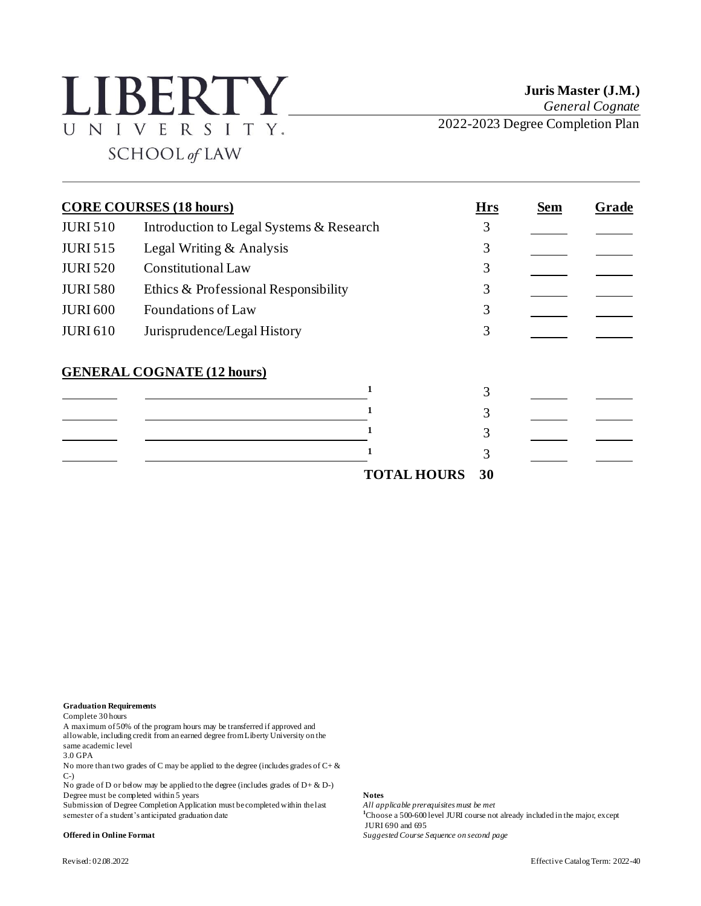## **LIBERTY** UNIVERSITY. SCHOOL of LAW

**Juris Master (J.M.)** *General Cognate* 2022-2023 Degree Completion Plan

| <b>CORE COURSES (18 hours)</b> |                                          | <b>Hrs</b>         | <b>Sem</b> | Grade |  |
|--------------------------------|------------------------------------------|--------------------|------------|-------|--|
| <b>JURI 510</b>                | Introduction to Legal Systems & Research |                    | 3          |       |  |
| <b>JURI 515</b>                | Legal Writing & Analysis                 |                    | 3          |       |  |
| <b>JURI 520</b>                | <b>Constitutional Law</b>                |                    | 3          |       |  |
| <b>JURI 580</b>                | Ethics & Professional Responsibility     |                    | 3          |       |  |
| <b>JURI 600</b>                | <b>Foundations of Law</b>                |                    | 3          |       |  |
| <b>JURI 610</b>                | Jurisprudence/Legal History              |                    | 3          |       |  |
|                                | <b>GENERAL COGNATE (12 hours)</b>        |                    | 3          |       |  |
|                                |                                          |                    |            |       |  |
|                                |                                          |                    | 3          |       |  |
|                                |                                          |                    | 3          |       |  |
|                                |                                          | <b>TOTAL HOURS</b> | 30         |       |  |

**Graduation Requirements**

Complete 30 hours

A maximum of 50% of the program hours may be transferred if approved and allowable, including credit from an earned degree from Liberty University on the same academic level

3.0 GPA

No more than two grades of C may be applied to the degree (includes grades of C+  $\&$ C-)

No grade of D or below may be applied to the degree (includes grades of  $D + \& D$ -) Degree must be completed within 5 years **Notes** 

Submission of Degree Completion Application must be completed within the last *All applicable prerequisites must be met* semester of a student's anticipated graduation date **1**Choose a 500-600 level JURI course not already included in the major, except

JURI 690 and 695

**Offered in Online Format** *Suggested Course Sequence on second page*